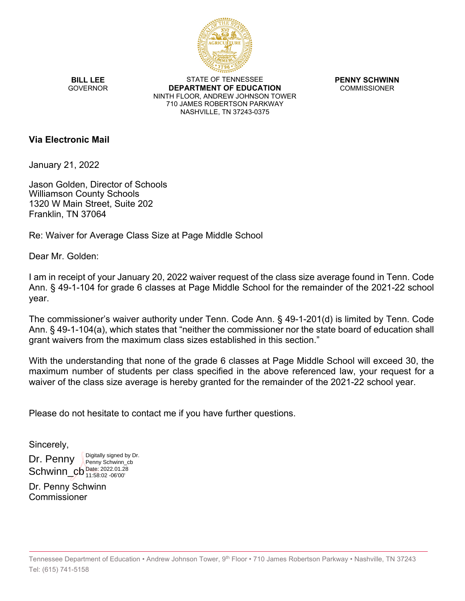

**BILL LEE GOVERNOR** 

STATE OF TENNESSEE **DEPARTMENT OF EDUCATION** NINTH FLOOR, ANDREW JOHNSON TOWER 710 JAMES ROBERTSON PARKWAY NASHVILLE, TN 37243-0375

**PENNY SCHWINN** COMMISSIONER

#### **Via Electronic Mail**

January 21, 2022

Jason Golden, Director of Schools Williamson County Schools 1320 W Main Street, Suite 202 Franklin, TN 37064

Re: Waiver for Average Class Size at Page Middle School

Dear Mr. Golden:

I am in receipt of your January 20, 2022 waiver request of the class size average found in Tenn. Code Ann. § 49-1-104 for grade 6 classes at Page Middle School for the remainder of the 2021-22 school year.

The commissioner's waiver authority under Tenn. Code Ann. § 49-1-201(d) is limited by Tenn. Code Ann. § 49-1-104(a), which states that "neither the commissioner nor the state board of education shall grant waivers from the maximum class sizes established in this section."

With the understanding that none of the grade 6 classes at Page Middle School will exceed 30, the maximum number of students per class specified in the above referenced law, your request for a waiver of the class size average is hereby granted for the remainder of the 2021-22 school year.

Please do not hesitate to contact me if you have further questions.

Sincerely,

Dr. Penny Schwinn\_cb  $_{11.58.02-06.00}^{Date: 2022.01.28}$ Digitally signed by Dr. Penny Schwinn\_cb 11:58:02 -06'00'

Dr. Penny Schwinn Commissioner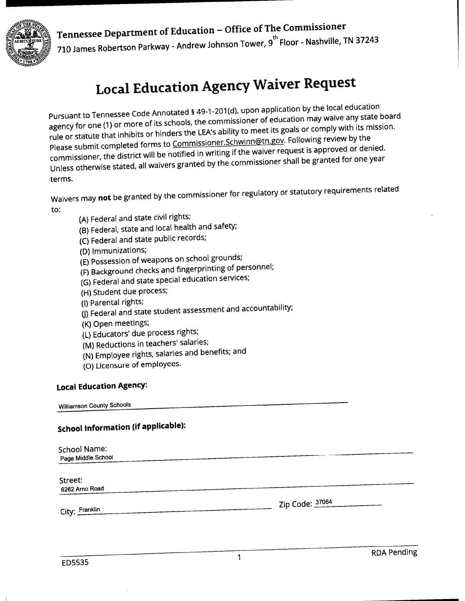## Tennessee Department of Education - Office of The Commissioner



710 James Robertson Parkway - Andrew Johnson Tower, 9<sup>th</sup> Floor - Nashville, TN 37243

# **Local Education Agency Waiver Request**

Pursuant to Tennessee Code Annotated § 49-1-201(d), upon application by the local education agency for one (1) or more of its schools, the commissioner of education may waive any state board rule or statute that inhibits or hinders the LEA's ability to meet its goals or comply with its mission. Please submit completed forms to Commissioner.Schwinn@tn.gov. Following review by the commissioner, the district will be notified in writing if the waiver request is approved or denied. Unless otherwise stated, all waivers granted by the commissioner shall be granted for one year terms.

Waivers may not be granted by the commissioner for regulatory or statutory requirements related to:

- (A) Federal and state civil rights;
- (B) Federal, state and local health and safety;
- (C) Federal and state public records;
- (D) Immunizations;
- (E) Possession of weapons on school grounds;
- (F) Background checks and fingerprinting of personnel;
- (G) Federal and state special education services;
- (H) Student due process;
- (I) Parental rights;
- (J) Federal and state student assessment and accountability;
- (K) Open meetings;
- (L) Educators' due process rights;
- (M) Reductions in teachers' salaries;
- (N) Employee rights, salaries and benefits; and
- (O) Licensure of employees.

### **Local Education Agency:**

**Williamson County Schools** 

### **School Information (if applicable):**

| School Name:<br>Page Middle School |                 |
|------------------------------------|-----------------|
| Street:<br>6262 Arno Road          |                 |
| City: Franklin                     | Zip Code: 37064 |